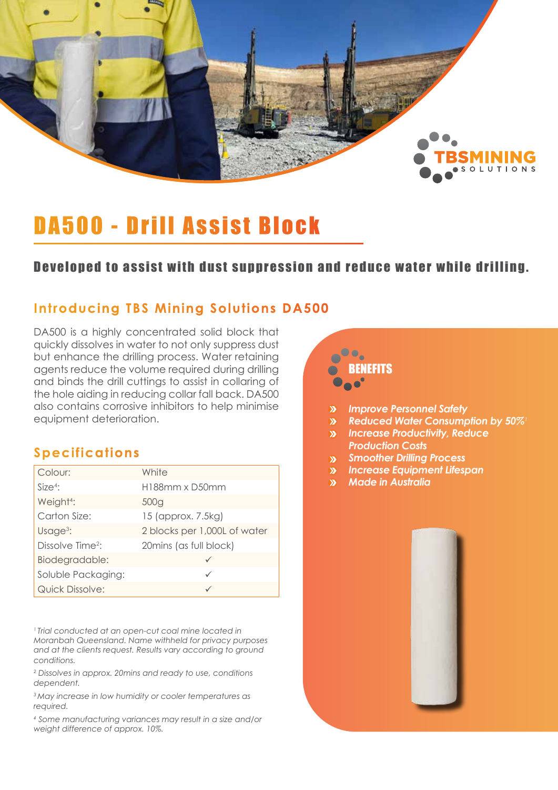

## DA500 - Drill Assist Block

### Developed to assist with dust suppression and reduce water while drilling.

### **Introducing TBS Mining Solutions DA500**

DA500 is a highly concentrated solid block that quickly dissolves in water to not only suppress dust but enhance the drilling process. Water retaining agents reduce the volume required during drilling and binds the drill cuttings to assist in collaring of the hole aiding in reducing collar fall back. DA500 also contains corrosive inhibitors to help minimise equipment deterioration.

## **Specifications**

| Colour:                      | White                        |
|------------------------------|------------------------------|
| Size <sup>4</sup>            | H188mm x D50mm               |
| Weight <sup>4</sup> :        | 500g                         |
| Carton Size:                 | 15 (approx. 7.5kg)           |
| Usage $3$ :                  | 2 blocks per 1,000L of water |
| Dissolve Time <sup>2</sup> : | 20 mins (as full block)      |
| Biodegradable:               |                              |
| Soluble Packaging:           | ✓                            |
| <b>Quick Dissolve:</b>       |                              |

*1 Trial conducted at an open-cut coal mine located in Moranbah Queensland. Name withheld for privacy purposes and at the clients request. Results vary according to ground conditions.*

*2 Dissolves in approx. 20mins and ready to use, conditions dependent.*

*3 May increase in low humidity or cooler temperatures as required.*

*4 Some manufacturing variances may result in a size and/or weight difference of approx. 10%.*